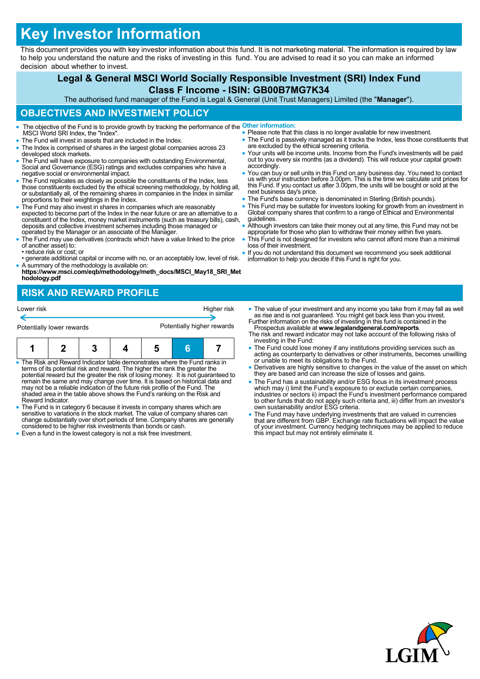# **Key Investor Information**

This document provides you with key investor information about this fund. It is not marketing material. The information is required by law to help you understand the nature and the risks of investing in this fund. You are advised to read it so you can make an informed decision about whether to invest.

## **Legal & General MSCI World Socially Responsible Investment (SRI) Index Fund Class F Income - ISIN: GB00B7MG7K34**

The authorised fund manager of the Fund is Legal & General (Unit Trust Managers) Limited (the "**Manager**").

## **OBJECTIVES AND INVESTMENT POLICY**

- The objective of the Fund is to provide growth by tracking the performance of the **Other information:** MSCI World SRI Index, the "Index".
- The Fund will invest in assets that are included in the Index.
- The Index is comprised of shares in the largest global companies across 23 developed stock markets.
- The Fund will have exposure to companies with outstanding Environmental, Social and Governance (ESG) ratings and excludes companies who have a negative social or environmental impact.
- The Fund replicates as closely as possible the constituents of the Index, less those constituents excluded by the ethical screening methodology, by holding all, or substantially all, of the remaining shares in companies in the Index in similar proportions to their weightings in the Index.
- The Fund may also invest in shares in companies which are reasonably expected to become part of the Index in the near future or are an alternative to a constituent of the Index, money market instruments (such as treasury bills), cash, deposits and collective investment schemes including those managed or operated by the Manager or an associate of the Manager.
- The Fund may use derivatives (contracts which have a value linked to the price of another asset) to: • reduce risk or cost; or
- generate additional capital or income with no, or an acceptably low, level of risk.
- A summary of the methodology is available on: **https://www.msci.com/eqb/methodology/meth\_docs/MSCI\_May18\_SRI\_Met hodology.pdf**

# **RISK AND REWARD PROFILE**

| Lower risk                |  |  |  | Higher risk                |  |  |
|---------------------------|--|--|--|----------------------------|--|--|
| Potentially lower rewards |  |  |  | Potentially higher rewards |  |  |
|                           |  |  |  |                            |  |  |

- The Risk and Reward Indicator table demonstrates where the Fund ranks in terms of its potential risk and reward. The higher the rank the greater the potential reward but the greater the risk of losing money. It is not guaranteed to<br>remain the same and may change over time. It is based on historical data and<br>may not be a reliable indication of the future risk profile of shaded area in the table above shows the Fund's ranking on the Risk and Reward Indicator.
- The Fund is in category 6 because it invests in company shares which are sensitive to variations in the stock market. The value of company shares can change substantially over short periods of time. Company shares are generally considered to be higher risk investments than bonds or cash.
- Even a fund in the lowest category is not a risk free investment.
- Please note that this class is no longer available for new investment. • The Fund is passively managed as it tracks the Index, less those constituents that
- are excluded by the ethical screening criteria. Your units will be income units. Income from the Fund's investments will be paid out to you every six months (as a dividend). This will reduce your capital growth accordingly.
- You can buy or sell units in this Fund on any business day. You need to contact us with your instruction before 3.00pm. This is the time we calculate unit prices for this Fund. If you contact us after 3.00pm, the units will be bought or sold at the next business day's price.
- The Fund's base currency is denominated in Sterling (British pounds).
- This Fund may be suitable for investors looking for growth from an investment in Global company shares that confirm to a range of Ethical and Environmental guidelines.
- Although investors can take their money out at any time, this Fund may not be appropriate for those who plan to withdraw their money within five years.
- This Fund is not designed for investors who cannot afford more than a minimal loss of their investment.
- If you do not understand this document we recommend you seek additional information to help you decide if this Fund is right for you.
- The value of your investment and any income you take from it may fall as well as rise and is not guaranteed. You might get back less than you invest. Further information on the risks of investing in this fund is contained in the Prospectus available at **www.legalandgeneral.com/reports**.
- The risk and reward indicator may not take account of the following risks of investing in the Fund:
- The Fund could lose money if any institutions providing services such as acting as counterparty to derivatives or other instruments, becomes unwilling or unable to meet its obligations to the Fund.
- Derivatives are highly sensitive to changes in the value of the asset on which they are based and can increase the size of losses and gains.
- The Fund has a sustainability and/or ESG focus in its investment process which may i) limit the Fund's exposure to or exclude certain companies, industries or sectors ii) impact the Fund's investment performance compared to other funds that do not apply such criteria and, iii) differ from an investor's own sustainability and/or ESG criteria.
- The Fund may have underlying investments that are valued in currencies that are different from GBP. Exchange rate fluctuations will impact the value of your investment. Currency hedging techniques may be applied to reduce this impact but may not entirely eliminate it.